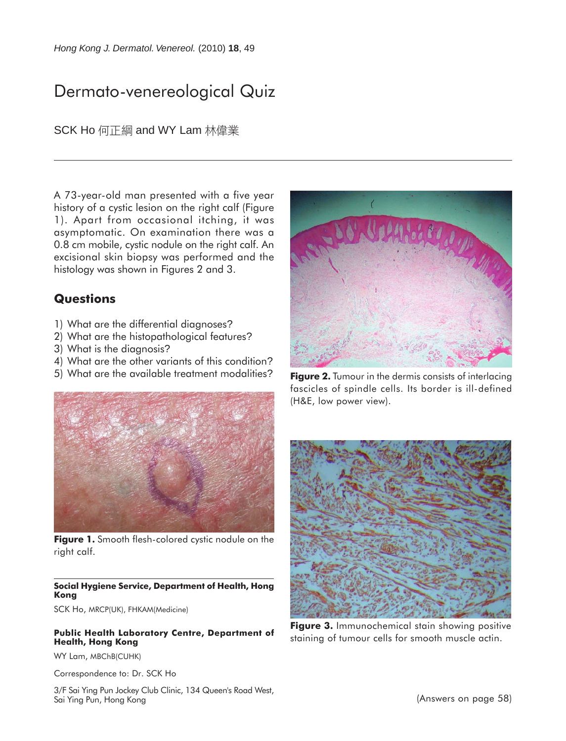# Dermato-venereological Quiz

SCK Ho 何正綱 and WY Lam 林偉業

A 73-year-old man presented with a five year history of a cystic lesion on the right calf (Figure 1). Apart from occasional itching, it was asymptomatic. On examination there was a 0.8 cm mobile, cystic nodule on the right calf. An excisional skin biopsy was performed and the histology was shown in Figures 2 and 3.

## **Questions**

- 1) What are the differential diagnoses?
- 2) What are the histopathological features?
- 3) What is the diagnosis?
- 4) What are the other variants of this condition?
- 5) What are the available treatment modalities?



**Figure 1.** Smooth flesh-colored cystic nodule on the right calf.

#### **Social Hygiene Service, Department of Health, Hong Kong**

SCK Ho, MRCP(UK), FHKAM(Medicine)

#### **Public Health Laboratory Centre, Department of Health, Hong Kong**

WY Lam, MBChB(CUHK)

Correspondence to: Dr. SCK Ho

3/F Sai Ying Pun Jockey Club Clinic, 134 Queen's Road West, Sai Ying Pun, Hong Kong



**Figure 2.** Tumour in the dermis consists of interlacing fascicles of spindle cells. Its border is ill-defined (H&E, low power view).



**Figure 3.** Immunochemical stain showing positive staining of tumour cells for smooth muscle actin.